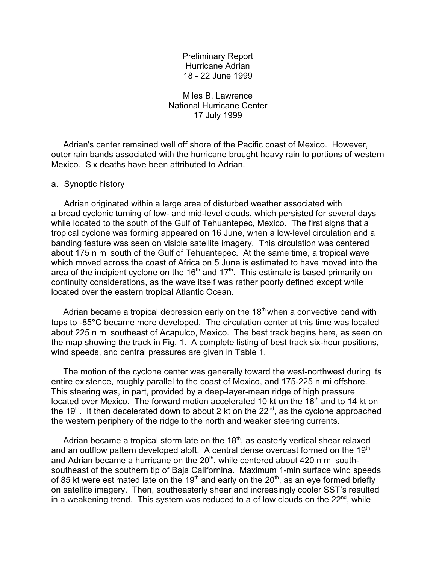Preliminary Report Hurricane Adrian 18 - 22 June 1999

Miles B. Lawrence National Hurricane Center 17 July 1999

 Adrian's center remained well off shore of the Pacific coast of Mexico. However, outer rain bands associated with the hurricane brought heavy rain to portions of western Mexico. Six deaths have been attributed to Adrian.

## a. Synoptic history

Adrian originated within a large area of disturbed weather associated with a broad cyclonic turning of low- and mid-level clouds, which persisted for several days while located to the south of the Gulf of Tehuantepec, Mexico. The first signs that a tropical cyclone was forming appeared on 16 June, when a low-level circulation and a banding feature was seen on visible satellite imagery. This circulation was centered about 175 n mi south of the Gulf of Tehuantepec. At the same time, a tropical wave which moved across the coast of Africa on 5 June is estimated to have moved into the area of the incipient cyclone on the  $16<sup>th</sup>$  and  $17<sup>th</sup>$ . This estimate is based primarily on continuity considerations, as the wave itself was rather poorly defined except while located over the eastern tropical Atlantic Ocean.

Adrian became a tropical depression early on the  $18<sup>th</sup>$  when a convective band with tops to -85**°**C became more developed. The circulation center at this time was located about 225 n mi southeast of Acapulco, Mexico. The best track begins here, as seen on the map showing the track in Fig. 1. A complete listing of best track six-hour positions, wind speeds, and central pressures are given in Table 1.

 The motion of the cyclone center was generally toward the west-northwest during its entire existence, roughly parallel to the coast of Mexico, and 175-225 n mi offshore. This steering was, in part, provided by a deep-layer-mean ridge of high pressure located over Mexico. The forward motion accelerated 10 kt on the  $18<sup>th</sup>$  and to 14 kt on the 19<sup>th</sup>. It then decelerated down to about 2 kt on the  $22^{nd}$ , as the cyclone approached the western periphery of the ridge to the north and weaker steering currents.

Adrian became a tropical storm late on the  $18<sup>th</sup>$ , as easterly vertical shear relaxed and an outflow pattern developed aloft. A central dense overcast formed on the  $19<sup>th</sup>$ and Adrian became a hurricane on the  $20<sup>th</sup>$ , while centered about 420 n mi southsoutheast of the southern tip of Baja Californina. Maximum 1-min surface wind speeds of 85 kt were estimated late on the 19<sup>th</sup> and early on the 20<sup>th</sup>, as an eye formed briefly on satellite imagery. Then, southeasterly shear and increasingly cooler SST's resulted in a weakening trend. This system was reduced to a of low clouds on the  $22^{\text{nd}}$ , while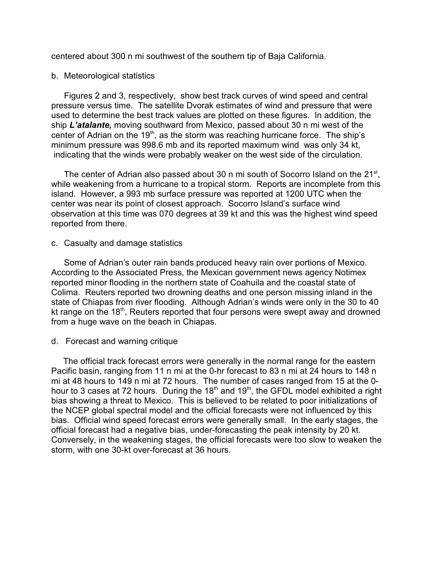centered about 300 n mi southwest of the southern tip of Baja California.

## b. Meteorological statistics

Figures 2 and 3, respectively, show best track curves of wind speed and central pressure versus time. The satellite Dvorak estimates of wind and pressure that were used to determine the best track values are plotted on these figures. In addition, the ship *L'atalante,* moving southward from Mexico, passed about 30 n mi west of the center of Adrian on the  $19<sup>th</sup>$ , as the storm was reaching hurricane force. The ship's minimum pressure was 998.6 mb and its reported maximum wind was only 34 kt, indicating that the winds were probably weaker on the west side of the circulation.

The center of Adrian also passed about 30 n mi south of Socorro Island on the  $21^{st}$ , while weakening from a hurricane to a tropical storm. Reports are incomplete from this island. However, a 993 mb surface pressure was reported at 1200 UTC when the center was near its point of closest approach. Socorro Island's surface wind observation at this time was 070 degrees at 39 kt and this was the highest wind speed reported from there.

c. Casualty and damage statistics

 Some of Adrian's outer rain bands produced heavy rain over portions of Mexico. According to the Associated Press, the Mexican government news agency Notimex reported minor flooding in the northern state of Coahuila and the coastal state of Colima. Reuters reported two drowning deaths and one person missing inland in the state of Chiapas from river flooding. Although Adrian's winds were only in the 30 to 40 kt range on the  $18<sup>th</sup>$ , Reuters reported that four persons were swept away and drowned from a huge wave on the beach in Chiapas.

## d. Forecast and warning critique

 The official track forecast errors were generally in the normal range for the eastern Pacific basin, ranging from 11 n mi at the 0-hr forecast to 83 n mi at 24 hours to 148 n mi at 48 hours to 149 n mi at 72 hours. The number of cases ranged from 15 at the 0 hour to 3 cases at 72 hours. During the  $18<sup>th</sup>$  and  $19<sup>th</sup>$ , the GFDL model exhibited a right bias showing a threat to Mexico. This is believed to be related to poor initializations of the NCEP global spectral model and the official forecasts were not influenced by this bias. Official wind speed forecast errors were generally small. In the early stages, the official forecast had a negative bias, under-forecasting the peak intensity by 20 kt. Conversely, in the weakening stages, the official forecasts were too slow to weaken the storm, with one 30-kt over-forecast at 36 hours.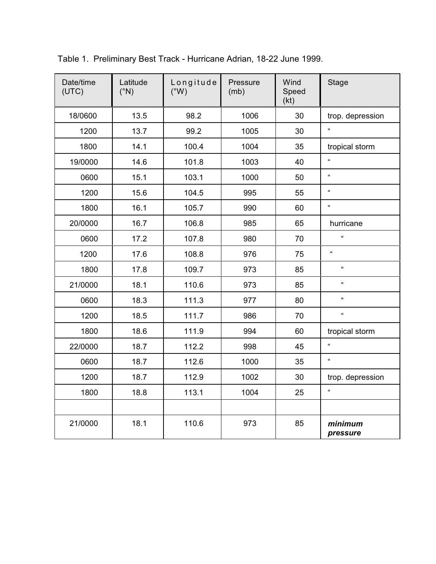| Date/time<br>(UTC) | Latitude<br>$(^{\circ}N)$ | Longitude<br>$(W^{\circ})$ | Pressure<br>(mb) | Wind<br>Speed<br>(kt) | <b>Stage</b>        |
|--------------------|---------------------------|----------------------------|------------------|-----------------------|---------------------|
| 18/0600            | 13.5                      | 98.2                       | 1006             | 30                    | trop. depression    |
| 1200               | 13.7                      | 99.2                       | 1005             | 30                    | $\epsilon$          |
| 1800               | 14.1                      | 100.4                      | 1004             | 35                    | tropical storm      |
| 19/0000            | 14.6                      | 101.8                      | 1003             | 40                    | $\alpha$            |
| 0600               | 15.1                      | 103.1                      | 1000             | 50                    | $\alpha$            |
| 1200               | 15.6                      | 104.5                      | 995              | 55                    | $\alpha$            |
| 1800               | 16.1                      | 105.7                      | 990              | 60                    | $\alpha$            |
| 20/0000            | 16.7                      | 106.8                      | 985              | 65                    | hurricane           |
| 0600               | 17.2                      | 107.8                      | 980              | 70                    | $\alpha$            |
| 1200               | 17.6                      | 108.8                      | 976              | 75                    | $\alpha$            |
| 1800               | 17.8                      | 109.7                      | 973              | 85                    | $\alpha$            |
| 21/0000            | 18.1                      | 110.6                      | 973              | 85                    | $\alpha$            |
| 0600               | 18.3                      | 111.3                      | 977              | 80                    | $\alpha$            |
| 1200               | 18.5                      | 111.7                      | 986              | 70                    | $\alpha$            |
| 1800               | 18.6                      | 111.9                      | 994              | 60                    | tropical storm      |
| 22/0000            | 18.7                      | 112.2                      | 998              | 45                    | $\alpha$            |
| 0600               | 18.7                      | 112.6                      | 1000             | 35                    | $\alpha$            |
| 1200               | 18.7                      | 112.9                      | 1002             | 30                    | trop. depression    |
| 1800               | 18.8                      | 113.1                      | 1004             | 25                    | $\mathfrak{c}$      |
|                    |                           |                            |                  |                       |                     |
| 21/0000            | 18.1                      | 110.6                      | 973              | 85                    | minimum<br>pressure |

Table 1. Preliminary Best Track - Hurricane Adrian, 18-22 June 1999.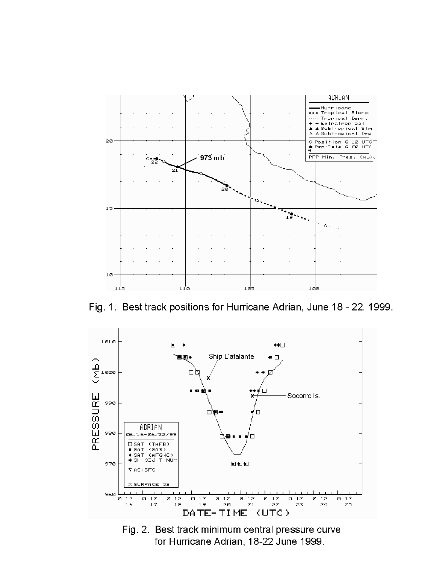

Fig. 1. Best track positions for Hurricane Adrian, June 18 - 22, 1999.



Fig. 2. Best track minimum central pressure curve for Hurricane Adrian, 18-22 June 1999.